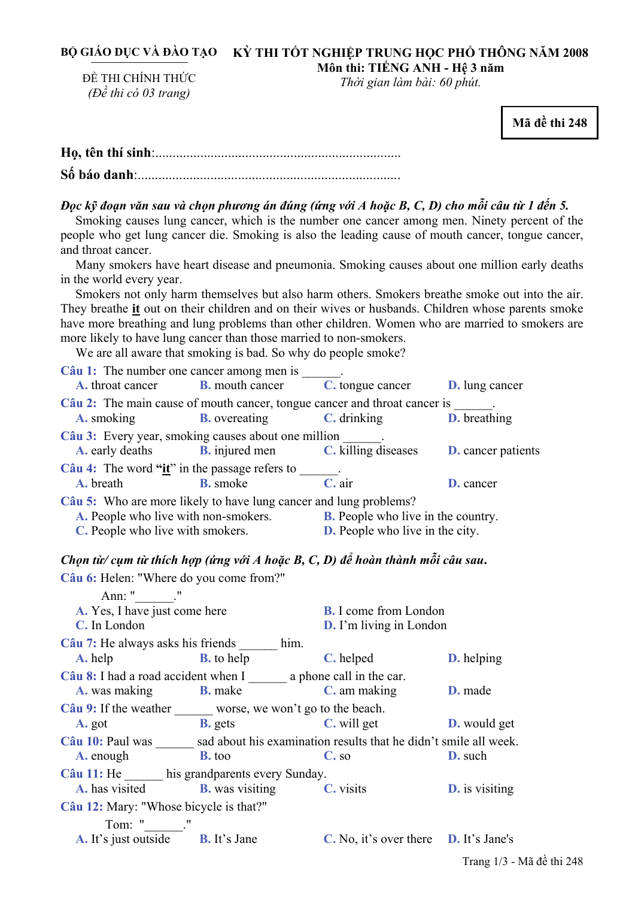#### BỘ GIÁO DỤC VÀ ĐÀO TẠO – KỲ THI TÔT NGHIỆP TRUNG HỌC PHỐ THÔNG NĂM 2008 **Môn thi: TIẾNG ANH - Hệ 3 năm**

ĐỀ THI CHÍNH THỨC *(Đề thi có 03 trang)* 

*Thời gian làm bài: 60 phút.* 

**Mã đề thi 248** 

## Đọc kỹ đoạn văn sau và chọn phương án đúng (ứng với A hoặc B, C, D) cho mỗi câu từ 1 đến 5.

Smoking causes lung cancer, which is the number one cancer among men. Ninety percent of the people who get lung cancer die. Smoking is also the leading cause of mouth cancer, tongue cancer, and throat cancer.

Many smokers have heart disease and pneumonia. Smoking causes about one million early deaths in the world every year.

Smokers not only harm themselves but also harm others. Smokers breathe smoke out into the air. They breathe **it** out on their children and on their wives or husbands. Children whose parents smoke have more breathing and lung problems than other children. Women who are married to smokers are more likely to have lung cancer than those married to non-smokers.

We are all aware that smoking is bad. So why do people smoke?

| Câu 1: The number one cancer among men is                                 |                                                     |                                           |                           |  |  |  |
|---------------------------------------------------------------------------|-----------------------------------------------------|-------------------------------------------|---------------------------|--|--|--|
| <b>A.</b> throat cancer                                                   | <b>B.</b> mouth cancer                              | C. tongue cancer                          | <b>D.</b> lung cancer     |  |  |  |
| Câu 2: The main cause of mouth cancer, tongue cancer and throat cancer is |                                                     |                                           |                           |  |  |  |
| A. smoking                                                                | <b>B.</b> overeating                                | C. drinking                               | <b>D.</b> breathing       |  |  |  |
|                                                                           | Câu 3: Every year, smoking causes about one million |                                           |                           |  |  |  |
| <b>A.</b> early deaths                                                    | <b>B.</b> injured men                               | C. killing diseases                       | <b>D.</b> cancer patients |  |  |  |
| Câu 4: The word " $\mathbf{ii}$ " in the passage refers to                |                                                     |                                           |                           |  |  |  |
| A. breath                                                                 | <b>B.</b> smoke                                     | C. air                                    | D. cancer                 |  |  |  |
| Câu 5: Who are more likely to have lung cancer and lung problems?         |                                                     |                                           |                           |  |  |  |
| A. People who live with non-smokers.                                      |                                                     | <b>B.</b> People who live in the country. |                           |  |  |  |
| C. People who live with smokers.                                          |                                                     | <b>D.</b> People who live in the city.    |                           |  |  |  |

## Chọn từ/ cụm từ thích hợp (ứng với A hoặc B, C, D) để hoàn thành mỗi câu sau.

**Câu 6:** Helen: "Where do you come from?" Ann: " \_\_\_\_. " **A.** Yes, I have just come here **B.** I come from London **C.** In London **D.** I'm living in London **Câu 7:** He always asks his friends \_\_\_\_\_\_ him. **A.** help **B.** to help **C.** helped **D.** helping **Câu 8:** I had a road accident when I \_\_\_\_\_\_ a phone call in the car. **A.** was making **B.** make **C.** am making **D.** made **Câu 9:** If the weather worse, we won't go to the beach. **A.** got **B.** gets **C.** will get **D.** would get **Câu 10:** Paul was \_\_\_\_\_\_ sad about his examination results that he didn't smile all week. **A.** enough **B.** too **C.** so **D.** such **Câu 11:** He \_\_\_\_\_\_ his grandparents every Sunday. **A.** has visited **B.** was visiting **C.** visits **D.** is visiting **Câu 12:** Mary: "Whose bicycle is that?" Tom: " \_\_\_. " **A.** It's just outside **B.** It's Jane **C.** No, it's over there **D.** It's Jane's

Trang 1/3 - Mã đề thi 248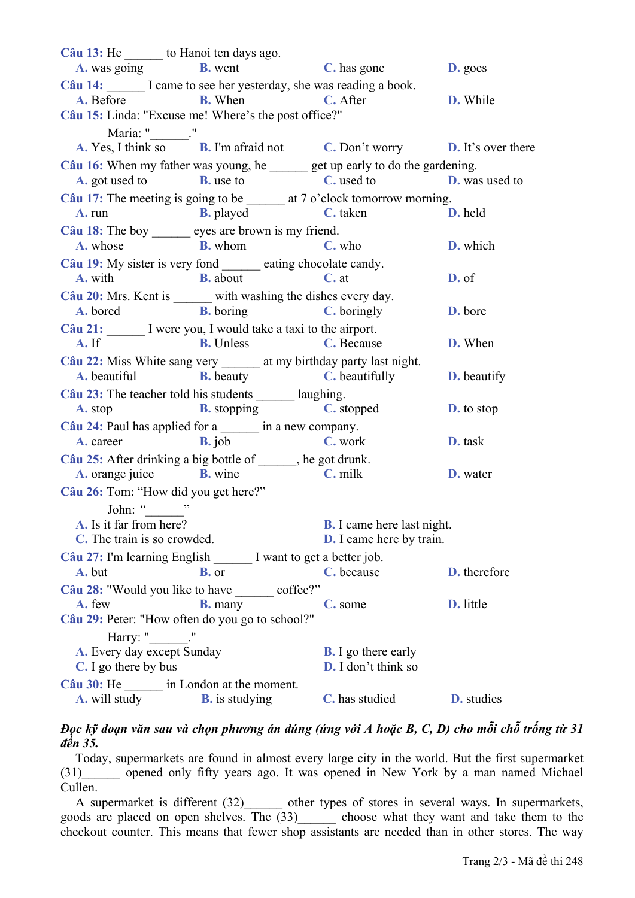**Câu 13:** He \_\_\_\_\_\_ to Hanoi ten days ago. **A.** was going **B.** went **C.** has gone **D.** goes Câu 14: I came to see her yesterday, she was reading a book. **A.** Before **B.** When **C.** After **D.** While **Câu 15:** Linda: "Excuse me! Where's the post office?" Maria: " \_\_\_\_." **A.** Yes, I think so **B.** I'm afraid not **C.** Don't worry **D.** It's over there **Câu 16:** When my father was young, he get up early to do the gardening. **A.** got used to **B.** use to **C.** used to **D.** was used to Câu 17: The meeting is going to be \_\_\_\_\_\_\_ at 7 o'clock tomorrow morning. **A.** run **B.** played **C.** taken **D.** held **Câu 18:** The boy eyes are brown is my friend. **A.** whose **B.** whom **C.** who **D.** which **Câu 19:** My sister is very fond eating chocolate candy. **A.** with **B.** about **C.** at **D.** of **Câu 20:** Mrs. Kent is \_\_\_\_\_\_ with washing the dishes every day. **A.** bored **B.** boring **C.** boringly **D.** bore Câu 21: I were you, I would take a taxi to the airport. **A.** If **B.** Unless **C.** Because **D.** When **Câu 22:** Miss White sang very at my birthday party last night. **A.** beautiful **B.** beauty **C.** beautifully **D.** beautify Câu 23: The teacher told his students laughing. **A.** stop **B.** stopping **C.** stopped **D.** to stop **Câu 24:** Paul has applied for a \_\_\_\_\_\_ in a new company. **A.** career **B.** job **C.** work **D.** task **Câu 25:** After drinking a big bottle of \_\_\_\_\_\_, he got drunk. **A.** orange juice **B.** wine **C.** milk **D.** water **Câu 26:** Tom: "How did you get here?" John: *"*\_\_\_\_\_\_" **A.** Is it far from here? **B.** I came here last night. **C.** The train is so crowded. **D.** I came here by train. **Câu 27:** I'm learning English \_\_\_\_\_\_ I want to get a better job. **A.** but **B.** or **C.** because **D.** therefore Câu 28: "Would you like to have \_\_\_\_\_\_ coffee?" **A.** few **B.** many **C.** some **D.** little **Câu 29:** Peter: "How often do you go to school?" Harry: " **A.** Every day except Sunday **B.** I go there early **C.** I go there by bus **D.** I don't think so **Câu 30:** He \_\_\_\_\_\_ in London at the moment. **A.** will study **B.** is studying **C.** has studied **D.** studies

### Đọc kỹ đoạn văn sau và chọn phương án đúng (ứng với A hoặc B, C, D) cho mỗi chỗ trống từ 31 *đến 35.*

Today, supermarkets are found in almost every large city in the world. But the first supermarket (31)\_\_\_\_\_\_ opened only fifty years ago. It was opened in New York by a man named Michael Cullen.

A supermarket is different (32) other types of stores in several ways. In supermarkets, goods are placed on open shelves. The (33)\_\_\_\_\_\_ choose what they want and take them to the checkout counter. This means that fewer shop assistants are needed than in other stores. The way